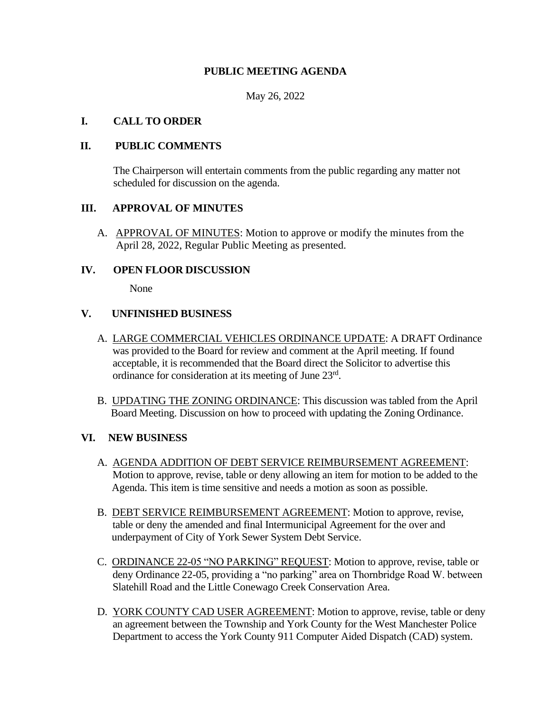# **PUBLIC MEETING AGENDA**

May 26, 2022

#### **I. CALL TO ORDER**

#### **II. PUBLIC COMMENTS**

The Chairperson will entertain comments from the public regarding any matter not scheduled for discussion on the agenda.

# **III. APPROVAL OF MINUTES**

A. APPROVAL OF MINUTES: Motion to approve or modify the minutes from the April 28, 2022, Regular Public Meeting as presented.

#### **IV. OPEN FLOOR DISCUSSION**

None

#### **V. UNFINISHED BUSINESS**

- A. LARGE COMMERCIAL VEHICLES ORDINANCE UPDATE: A DRAFT Ordinance was provided to the Board for review and comment at the April meeting. If found acceptable, it is recommended that the Board direct the Solicitor to advertise this ordinance for consideration at its meeting of June 23rd .
- B. UPDATING THE ZONING ORDINANCE: This discussion was tabled from the April Board Meeting. Discussion on how to proceed with updating the Zoning Ordinance.

# **VI. NEW BUSINESS**

- A. AGENDA ADDITION OF DEBT SERVICE REIMBURSEMENT AGREEMENT: Motion to approve, revise, table or deny allowing an item for motion to be added to the Agenda. This item is time sensitive and needs a motion as soon as possible.
- B. DEBT SERVICE REIMBURSEMENT AGREEMENT: Motion to approve, revise, table or deny the amended and final Intermunicipal Agreement for the over and underpayment of City of York Sewer System Debt Service.
- C. ORDINANCE 22-05 "NO PARKING" REQUEST: Motion to approve, revise, table or deny Ordinance 22-05, providing a "no parking" area on Thornbridge Road W. between Slatehill Road and the Little Conewago Creek Conservation Area.
- D. YORK COUNTY CAD USER AGREEMENT: Motion to approve, revise, table or deny an agreement between the Township and York County for the West Manchester Police Department to access the York County 911 Computer Aided Dispatch (CAD) system.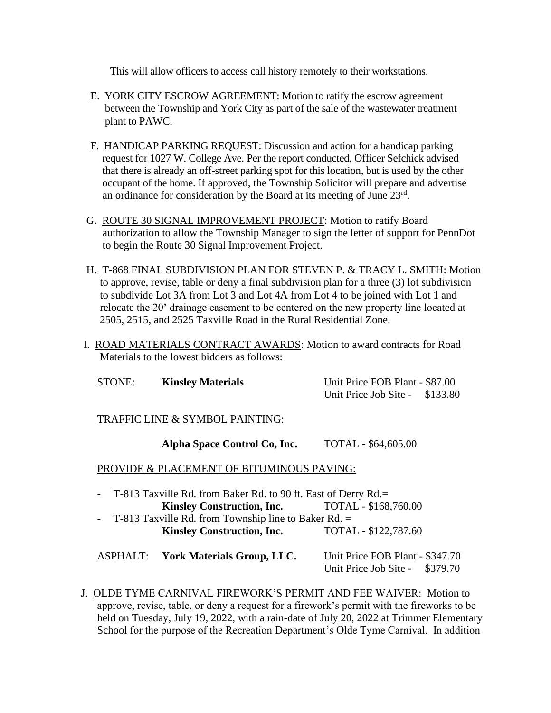This will allow officers to access call history remotely to their workstations.

- E. YORK CITY ESCROW AGREEMENT: Motion to ratify the escrow agreement between the Township and York City as part of the sale of the wastewater treatment plant to PAWC.
- F. HANDICAP PARKING REQUEST: Discussion and action for a handicap parking request for 1027 W. College Ave. Per the report conducted, Officer Sefchick advised that there is already an off-street parking spot for this location, but is used by the other occupant of the home. If approved, the Township Solicitor will prepare and advertise an ordinance for consideration by the Board at its meeting of June 23rd.
- G. ROUTE 30 SIGNAL IMPROVEMENT PROJECT: Motion to ratify Board authorization to allow the Township Manager to sign the letter of support for PennDot to begin the Route 30 Signal Improvement Project.
- H. T-868 FINAL SUBDIVISION PLAN FOR STEVEN P. & TRACY L. SMITH: Motion to approve, revise, table or deny a final subdivision plan for a three (3) lot subdivision to subdivide Lot 3A from Lot 3 and Lot 4A from Lot 4 to be joined with Lot 1 and relocate the 20' drainage easement to be centered on the new property line located at 2505, 2515, and 2525 Taxville Road in the Rural Residential Zone.
- I. ROAD MATERIALS CONTRACT AWARDS: Motion to award contracts for Road Materials to the lowest bidders as follows:

| STONE: | <b>Kinsley Materials</b>           | Unit Price FOB Plant - \$87.00<br>Unit Price Job Site - \$133.80 |  |
|--------|------------------------------------|------------------------------------------------------------------|--|
|        | TD A EEIC I INE & CVMDOI DAINTING. |                                                                  |  |

TRAFFIC LINE & SYMBOL PAINTING:

**Alpha Space Control Co, Inc.** TOTAL - \$64,605.00

PROVIDE & PLACEMENT OF BITUMINOUS PAVING:

- T-813 Taxville Rd. from Baker Rd. to 90 ft. East of Derry Rd.= **Kinsley Construction, Inc.** TOTAL - \$168,760.00 - T**-**813 Taxville Rd. from Township line to Baker Rd. = **Kinsley Construction, Inc.** TOTAL - \$122,787.60

ASPHALT: **York Materials Group, LLC.** Unit Price FOB Plant - \$347.70 Unit Price Job Site - \$379.70

 J. OLDE TYME CARNIVAL FIREWORK'S PERMIT AND FEE WAIVER: Motion to approve, revise, table, or deny a request for a firework's permit with the fireworks to be held on Tuesday, July 19, 2022, with a rain-date of July 20, 2022 at Trimmer Elementary School for the purpose of the Recreation Department's Olde Tyme Carnival. In addition